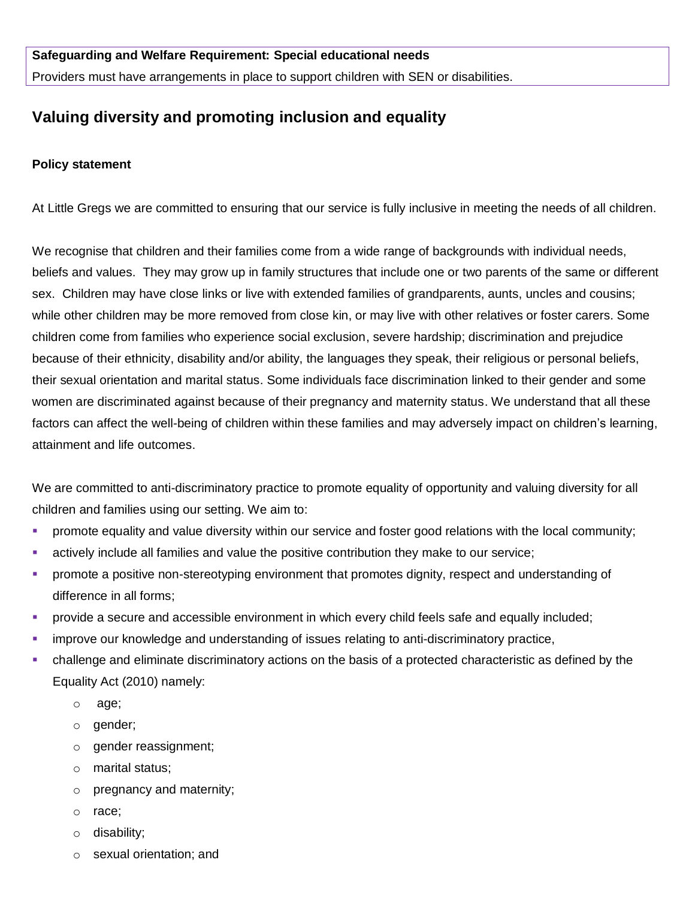Providers must have arrangements in place to support children with SEN or disabilities.

# **Valuing diversity and promoting inclusion and equality**

#### **Policy statement**

At Little Gregs we are committed to ensuring that our service is fully inclusive in meeting the needs of all children.

We recognise that children and their families come from a wide range of backgrounds with individual needs, beliefs and values. They may grow up in family structures that include one or two parents of the same or different sex. Children may have close links or live with extended families of grandparents, aunts, uncles and cousins; while other children may be more removed from close kin, or may live with other relatives or foster carers. Some children come from families who experience social exclusion, severe hardship; discrimination and prejudice because of their ethnicity, disability and/or ability, the languages they speak, their religious or personal beliefs, their sexual orientation and marital status. Some individuals face discrimination linked to their gender and some women are discriminated against because of their pregnancy and maternity status. We understand that all these factors can affect the well-being of children within these families and may adversely impact on children's learning, attainment and life outcomes.

We are committed to anti-discriminatory practice to promote equality of opportunity and valuing diversity for all children and families using our setting. We aim to:

- promote equality and value diversity within our service and foster good relations with the local community;
- actively include all families and value the positive contribution they make to our service;
- **Promote a positive non-stereotyping environment that promotes dignity, respect and understanding of** difference in all forms;
- provide a secure and accessible environment in which every child feels safe and equally included;
- improve our knowledge and understanding of issues relating to anti-discriminatory practice,
- challenge and eliminate discriminatory actions on the basis of a protected characteristic as defined by the Equality Act (2010) namely:
	- o age;
	- o gender;
	- o gender reassignment;
	- o marital status;
	- o pregnancy and maternity;
	- o race;
	- o disability;
	- o sexual orientation; and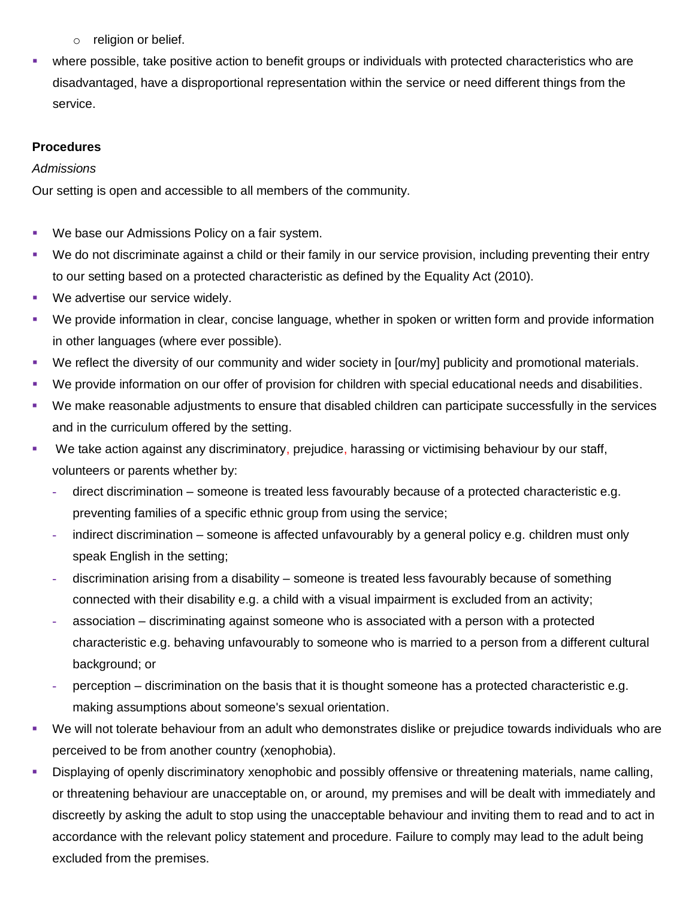- o religion or belief.
- where possible, take positive action to benefit groups or individuals with protected characteristics who are disadvantaged, have a disproportional representation within the service or need different things from the service.

## **Procedures**

#### *Admissions*

Our setting is open and accessible to all members of the community.

- **We base our Admissions Policy on a fair system.**
- We do not discriminate against a child or their family in our service provision, including preventing their entry to our setting based on a protected characteristic as defined by the Equality Act (2010).
- **We advertise our service widely.**
- We provide information in clear, concise language, whether in spoken or written form and provide information in other languages (where ever possible).
- We reflect the diversity of our community and wider society in [our/my] publicity and promotional materials.
- We provide information on our offer of provision for children with special educational needs and disabilities.
- We make reasonable adjustments to ensure that disabled children can participate successfully in the services and in the curriculum offered by the setting.
- We take action against any discriminatory, prejudice, harassing or victimising behaviour by our staff, volunteers or parents whether by:
	- **-** direct discrimination someone is treated less favourably because of a protected characteristic e.g. preventing families of a specific ethnic group from using the service;
	- **-** indirect discrimination someone is affected unfavourably by a general policy e.g. children must only speak English in the setting;
	- **-** discrimination arising from a disability someone is treated less favourably because of something connected with their disability e.g. a child with a visual impairment is excluded from an activity;
	- **-** association discriminating against someone who is associated with a person with a protected characteristic e.g. behaving unfavourably to someone who is married to a person from a different cultural background; or
	- **-** perception discrimination on the basis that it is thought someone has a protected characteristic e.g. making assumptions about someone's sexual orientation.
- We will not tolerate behaviour from an adult who demonstrates dislike or prejudice towards individuals who are perceived to be from another country (xenophobia).
- **Displaying of openly discriminatory xenophobic and possibly offensive or threatening materials, name calling,** or threatening behaviour are unacceptable on, or around, my premises and will be dealt with immediately and discreetly by asking the adult to stop using the unacceptable behaviour and inviting them to read and to act in accordance with the relevant policy statement and procedure. Failure to comply may lead to the adult being excluded from the premises.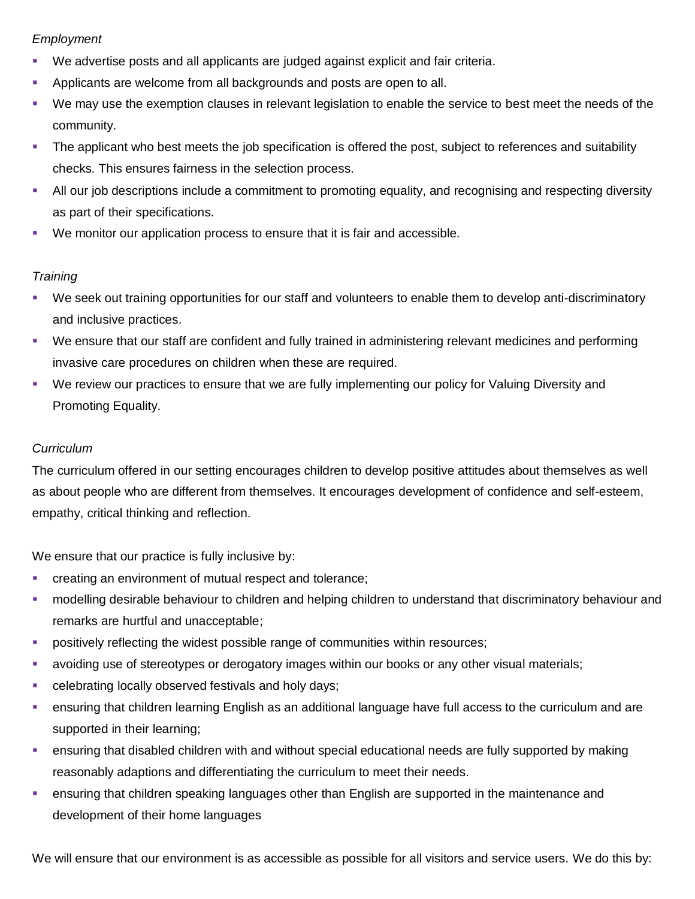# *Employment*

- We advertise posts and all applicants are judged against explicit and fair criteria.
- **Applicants are welcome from all backgrounds and posts are open to all.**
- We may use the exemption clauses in relevant legislation to enable the service to best meet the needs of the community.
- The applicant who best meets the job specification is offered the post, subject to references and suitability checks. This ensures fairness in the selection process.
- All our job descriptions include a commitment to promoting equality, and recognising and respecting diversity as part of their specifications.
- We monitor our application process to ensure that it is fair and accessible.

## *Training*

- We seek out training opportunities for our staff and volunteers to enable them to develop anti-discriminatory and inclusive practices.
- We ensure that our staff are confident and fully trained in administering relevant medicines and performing invasive care procedures on children when these are required.
- We review our practices to ensure that we are fully implementing our policy for Valuing Diversity and Promoting Equality.

## *Curriculum*

The curriculum offered in our setting encourages children to develop positive attitudes about themselves as well as about people who are different from themselves. It encourages development of confidence and self-esteem, empathy, critical thinking and reflection.

We ensure that our practice is fully inclusive by:

- **creating an environment of mutual respect and tolerance;**
- modelling desirable behaviour to children and helping children to understand that discriminatory behaviour and remarks are hurtful and unacceptable;
- **•** positively reflecting the widest possible range of communities within resources;
- avoiding use of stereotypes or derogatory images within our books or any other visual materials;
- **EXEC** celebrating locally observed festivals and holy days;
- ensuring that children learning English as an additional language have full access to the curriculum and are supported in their learning;
- ensuring that disabled children with and without special educational needs are fully supported by making reasonably adaptions and differentiating the curriculum to meet their needs.
- ensuring that children speaking languages other than English are supported in the maintenance and development of their home languages

We will ensure that our environment is as accessible as possible for all visitors and service users. We do this by: